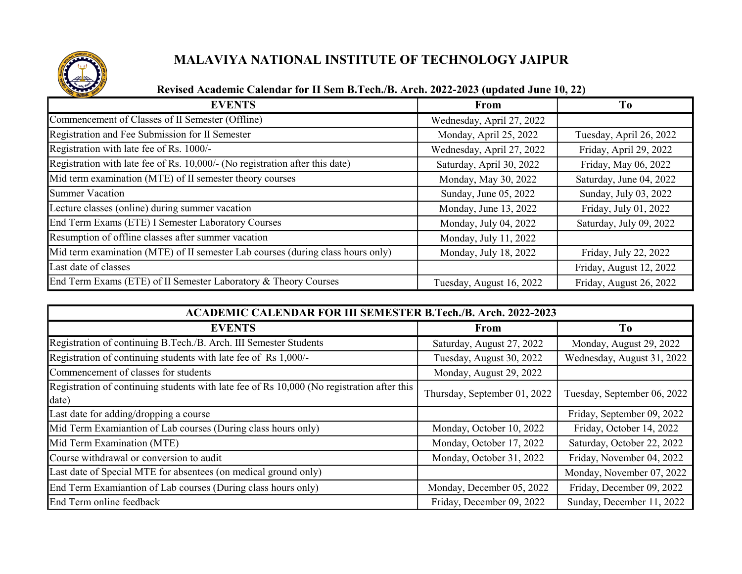

## MALAVIYA NATIONAL INSTITUTE OF TECHNOLOGY JAIPUR

## Revised Academic Calendar for II Sem B.Tech./B. Arch. 2022-2023 (updated June 10, 22)

| <b>EVENTS</b>                                                                   | From                      | T <sub>0</sub>          |
|---------------------------------------------------------------------------------|---------------------------|-------------------------|
| Commencement of Classes of II Semester (Offline)                                | Wednesday, April 27, 2022 |                         |
| Registration and Fee Submission for II Semester                                 | Monday, April 25, 2022    | Tuesday, April 26, 2022 |
| Registration with late fee of Rs. 1000/-                                        | Wednesday, April 27, 2022 | Friday, April 29, 2022  |
| Registration with late fee of Rs. 10,000/- (No registration after this date)    | Saturday, April 30, 2022  | Friday, May 06, 2022    |
| Mid term examination (MTE) of II semester theory courses                        | Monday, May 30, 2022      | Saturday, June 04, 2022 |
| <b>Summer Vacation</b>                                                          | Sunday, June 05, 2022     | Sunday, July 03, 2022   |
| Lecture classes (online) during summer vacation                                 | Monday, June 13, 2022     | Friday, July 01, 2022   |
| End Term Exams (ETE) I Semester Laboratory Courses                              | Monday, July 04, 2022     | Saturday, July 09, 2022 |
| Resumption of offline classes after summer vacation                             | Monday, July 11, 2022     |                         |
| Mid term examination (MTE) of II semester Lab courses (during class hours only) | Monday, July 18, 2022     | Friday, July 22, 2022   |
| Last date of classes                                                            |                           | Friday, August 12, 2022 |
| End Term Exams (ETE) of II Semester Laboratory & Theory Courses                 | Tuesday, August 16, 2022  | Friday, August 26, 2022 |

| <b>ACADEMIC CALENDAR FOR III SEMESTER B.Tech./B. Arch. 2022-2023</b>                                |                              |                             |  |
|-----------------------------------------------------------------------------------------------------|------------------------------|-----------------------------|--|
| <b>EVENTS</b>                                                                                       | <b>From</b>                  | To                          |  |
| Registration of continuing B.Tech./B. Arch. III Semester Students                                   | Saturday, August 27, 2022    | Monday, August 29, 2022     |  |
| Registration of continuing students with late fee of Rs 1,000/-                                     | Tuesday, August 30, 2022     | Wednesday, August 31, 2022  |  |
| Commencement of classes for students                                                                | Monday, August 29, 2022      |                             |  |
| Registration of continuing students with late fee of Rs 10,000 (No registration after this<br>date) | Thursday, September 01, 2022 | Tuesday, September 06, 2022 |  |
| Last date for adding/dropping a course                                                              |                              | Friday, September 09, 2022  |  |
| Mid Term Examiantion of Lab courses (During class hours only)                                       | Monday, October 10, 2022     | Friday, October 14, 2022    |  |
| Mid Term Examination (MTE)                                                                          | Monday, October 17, 2022     | Saturday, October 22, 2022  |  |
| Course withdrawal or conversion to audit                                                            | Monday, October 31, 2022     | Friday, November 04, 2022   |  |
| Last date of Special MTE for absentees (on medical ground only)                                     |                              | Monday, November 07, 2022   |  |
| End Term Examiantion of Lab courses (During class hours only)                                       | Monday, December 05, 2022    | Friday, December 09, 2022   |  |
| End Term online feedback                                                                            | Friday, December 09, 2022    | Sunday, December 11, 2022   |  |